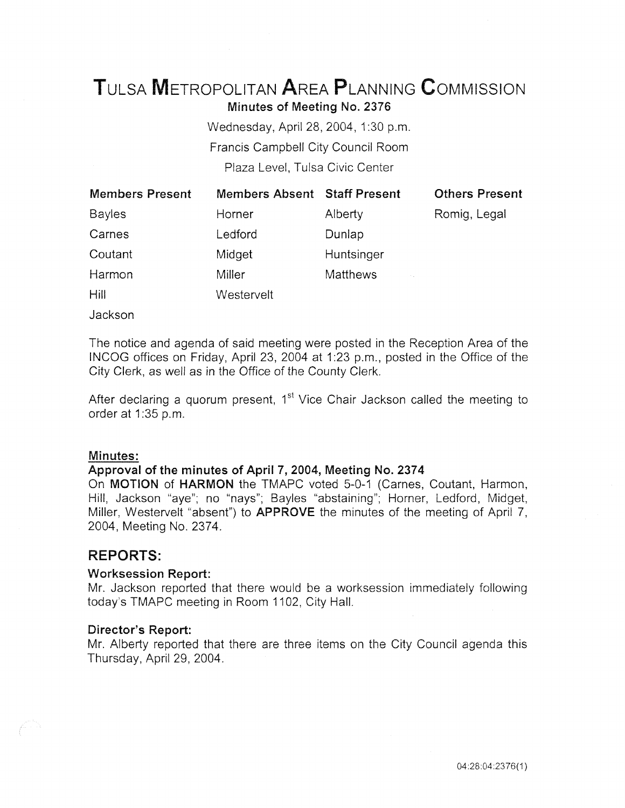# TuLsA METROPOLITAN AREA PLANNING CoMMISSION

Minutes of Meeting No. 2376

Wednesday, April 28, 2004, 1:30 p.m. Francis Campbell City Council Room Plaza Level, Tulsa Civic Center

| <b>Members Present</b> | <b>Members Absent Staff Present</b> |                                   | <b>Others Present</b> |
|------------------------|-------------------------------------|-----------------------------------|-----------------------|
| <b>Bayles</b>          | Horner                              | Alberty                           | Romig, Legal          |
| Carnes                 | Ledford                             | Dunlap                            |                       |
| Coutant                | Midget                              | Huntsinger                        |                       |
| Harmon                 | Miller                              | <b>Matthews</b><br><b>College</b> |                       |
| Hill                   | Westervelt                          |                                   |                       |

Jackson

The notice and agenda of said meeting were posted in the Reception Area of the INCOG offices on Friday, April 23, 2004 at 1:23 p.m., posted in the Office of the City Clerk, as well as in the Office of the County Clerk.

After declaring a quorum present, 1<sup>st</sup> Vice Chair Jackson called the meeting to order at 1:35 p.m.

# Minutes:

# Approval of the minutes of April 7, 2004, Meeting No. 2374

On MOTION of HARMON the TMAPC voted 5-0-1 (Carnes, Coutant, Harmon, Hill, Jackson "aye"; no "nays"; Bayles "abstaining"; Horner, Ledford, Midget, Miller, Westervelt "absent") to **APPROVE** the minutes of the meeting of April 7, 2004, Meeting No. 2374.

# **REPORTS:**

# Worksession Report:

Mr. Jackson reported that there would be a worksession immediately following today's TMAPC meeting in Room 1102, City Hall.

# Director's Report:

Mr. Alberty reported that there are three items on the City Council agenda this Thursday, April 29, 2004.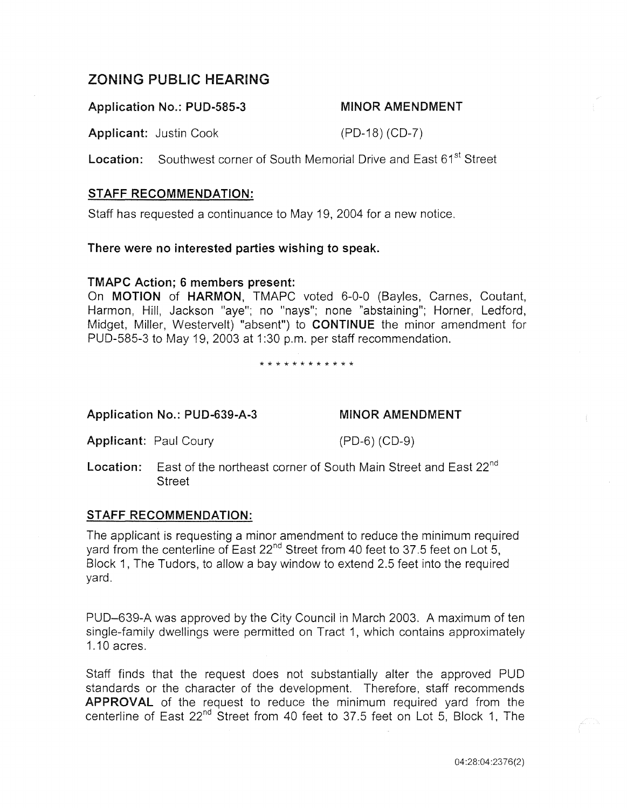# ZONING PUBLIC HEARING

Application No.: PUD-585-3 MINOR AMENDMENT

Applicant: Justin Cook (PD-18) (CD-7)

Location: Southwest corner of South Memorial Drive and East 61<sup>st</sup> Street

# STAFF RECOMMENDATION:

Staff has requested a continuance to May 19, 2004 for a new notice.

# There were no interested parties wishing to speak.

# TMAPC Action; 6 members present:

On MOTION of HARMON, TMAPC voted 6-0-0 (Bayles, Carnes, Coutant, Harmon, Hill, Jackson "aye"; no "nays"; none "abstaining"; Horner, Ledford, Midget, Miller, Westervelt) "absent") to CONTINUE the minor amendment for PUD-585-3 to May 19, 2003 at 1:30 p.m. per staff recommendation.

\* \* \* \* \* \* \* \* \* \* \* \*

Application No.: PUD-639-A-3 MINOR AMENDMENT

Applicant: Paul Coury (PD-6) (CD-9)

Location: East of the northeast corner of South Main Street and East 22<sup>nd</sup> **Street** 

# STAFF RECOMMENDATION:

The applicant is requesting a minor amendment to reduce the minimum required yard from the centerline of East 22<sup>nd</sup> Street from 40 feet to 37.5 feet on Lot 5, Block 1, The Tudors, to allow a bay window to extend 2.5 feet into the required yard.

PUD-639-A was approved by the City Council in March 2003. A maximum of ten single-family dwellings were permitted on Tract 1, which contains approximately 1.10 acres.

Staff finds that the request does not substantially alter the approved PUD standards or the character of the development. Therefore, staff recommends APPROVAL of the request to reduce the minimum required yard from the centerline of East 22<sup>nd</sup> Street from 40 feet to 37.5 feet on Lot 5, Block 1, The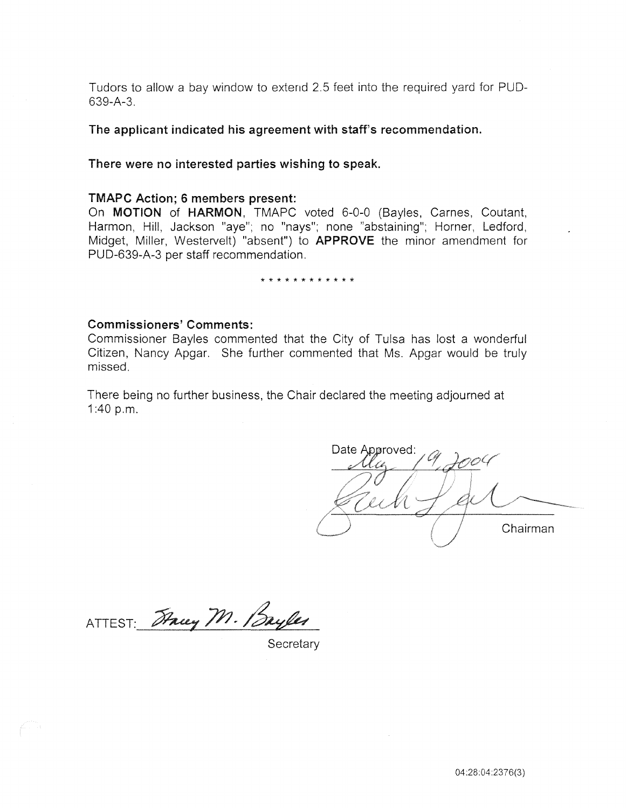Tudors to allow a bay window to extend 2.5 feet into the required yard for PUD-639-A-3.

The applicant indicated his agreement with staff's recommendation.

## There were no interested parties wishing to speak.

#### TMAPC Action; 6 members present:

On MOTION of HARMON, TMAPC voted 6-0-0 (Bayles, Carnes, Coutant, Harmon, Hill, Jackson "aye"; no "nays"; none "abstaining"; Horner, Ledford, Midget, Miller, Westervelt) "absent") to APPROVE the minor amendment for PUD-639-A-3 per staff recommendation.

#### \* \* \* \* \* \* \* \* \* \* \* \*

## Commissioners' Comments:

Commissioner Bayles commented that the City of Tulsa has lost a wonderful Citizen, Nancy Apgar. She further commented that Ms. Apgar would be truly missed.

There being no further business, the Chair declared the meeting adjourned at 1 :40 p.m.

Date Approved: Chairman

ATTEST: Tracy M. Bayles

**Secretary**